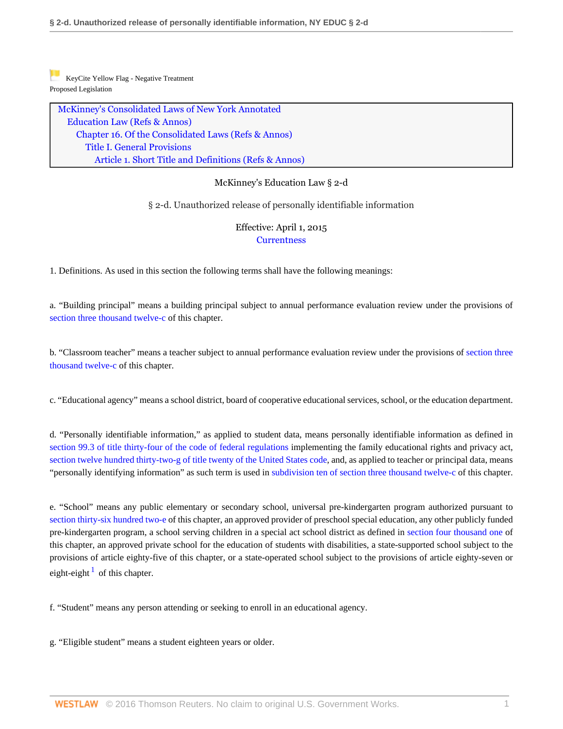[K](https://1.next.westlaw.com/Link/RelatedInformation/Flag?documentGuid=NB8AD88D0EFBF11E48C39B81E0915B315&transitionType=Document&originationContext=docHeaderFlag&contextData=(sc.UserEnteredCitation))eyCite Yellow Flag - Negative Treatment Proposed Legislation

[McKinney's Consolidated Laws of New York Annotated](http://www.westlaw.com/Browse/Home/StatutesCourtRules/NewYorkStatutesCourtRules?transitionType=DocumentItem&contextData=(sc.UserEnteredCitation)&rs=clbt1.0&vr=3.0) [Education Law](http://www.westlaw.com/Browse/Home/StatutesCourtRules/NewYorkStatutesCourtRules?guid=NAB7DCDA196F841BEB0299FE4BBD7E92E&transitionType=DocumentItem&contextData=(sc.UserEnteredCitation)&rs=clbt1.0&vr=3.0) [\(Refs & Annos\)](http://www.westlaw.com/Link/Document/FullText?findType=l&cite=lk(NYEDR)&originatingDoc=NB8AD88D0EFBF11E48C39B81E0915B315&refType=CM&sourceCite=McKinney%27s+Education+Law+%c2%a7+2-d&originationContext=document&vr=3.0&rs=cblt1.0&transitionType=DocumentItem&pubNum=1000069&contextData=(sc.UserEnteredCitation)) [Chapter 16. Of the Consolidated Laws](http://www.westlaw.com/Browse/Home/StatutesCourtRules/NewYorkStatutesCourtRules?guid=NB1E9971E44EA4701981F773D49446CE8&transitionType=DocumentItem&contextData=(sc.UserEnteredCitation)&rs=clbt1.0&vr=3.0) [\(Refs & Annos\)](http://www.westlaw.com/Link/Document/FullText?findType=l&cite=lk(NYEDC16M)&originatingDoc=NB8AD88D0EFBF11E48C39B81E0915B315&refType=CM&sourceCite=McKinney%27s+Education+Law+%c2%a7+2-d&originationContext=document&vr=3.0&rs=cblt1.0&transitionType=DocumentItem&pubNum=1000069&contextData=(sc.UserEnteredCitation)) [Title I. General Provisions](http://www.westlaw.com/Browse/Home/StatutesCourtRules/NewYorkStatutesCourtRules?guid=N0594795057F541339EED23F48E390688&transitionType=DocumentItem&contextData=(sc.UserEnteredCitation)&rs=clbt1.0&vr=3.0) [Article 1. Short Title and Definitions](http://www.westlaw.com/Browse/Home/StatutesCourtRules/NewYorkStatutesCourtRules?guid=N08F20E9E001F497BA0BF1F5432C3FC22&transitionType=DocumentItem&contextData=(sc.UserEnteredCitation)&rs=clbt1.0&vr=3.0) [\(Refs & Annos\)](http://www.westlaw.com/Link/Document/FullText?findType=l&cite=lk(NYEDC16TIART1R)&originatingDoc=NB8AD88D0EFBF11E48C39B81E0915B315&refType=CM&sourceCite=McKinney%27s+Education+Law+%c2%a7+2-d&originationContext=document&vr=3.0&rs=cblt1.0&transitionType=DocumentItem&pubNum=1000069&contextData=(sc.UserEnteredCitation))

## McKinney's Education Law § 2-d

§ 2-d. Unauthorized release of personally identifiable information

## Effective: April 1, 2015 **[Currentness](#page-8-0)**

1. Definitions. As used in this section the following terms shall have the following meanings:

a. "Building principal" means a building principal subject to annual performance evaluation review under the provisions of [section three thousand twelve-c](http://www.westlaw.com/Link/Document/FullText?findType=L&pubNum=1000069&cite=NYEDS3012-C&originatingDoc=NB8AD88D0EFBF11E48C39B81E0915B315&refType=LQ&originationContext=document&vr=3.0&rs=cblt1.0&transitionType=DocumentItem&contextData=(sc.UserEnteredCitation)) of this chapter.

b. "Classroom teacher" means a teacher subject to annual performance evaluation review under the provisions of [section three](http://www.westlaw.com/Link/Document/FullText?findType=L&pubNum=1000069&cite=NYEDS3012-C&originatingDoc=NB8AD88D0EFBF11E48C39B81E0915B315&refType=LQ&originationContext=document&vr=3.0&rs=cblt1.0&transitionType=DocumentItem&contextData=(sc.UserEnteredCitation)) [thousand twelve-c](http://www.westlaw.com/Link/Document/FullText?findType=L&pubNum=1000069&cite=NYEDS3012-C&originatingDoc=NB8AD88D0EFBF11E48C39B81E0915B315&refType=LQ&originationContext=document&vr=3.0&rs=cblt1.0&transitionType=DocumentItem&contextData=(sc.UserEnteredCitation)) of this chapter.

c. "Educational agency" means a school district, board of cooperative educational services, school, or the education department.

d. "Personally identifiable information," as applied to student data, means personally identifiable information as defined in [section 99.3 of title thirty-four of the code of federal regulations](http://www.westlaw.com/Link/Document/FullText?findType=L&pubNum=1000547&cite=34CFRS99.3&originatingDoc=NB8AD88D0EFBF11E48C39B81E0915B315&refType=LQ&originationContext=document&vr=3.0&rs=cblt1.0&transitionType=DocumentItem&contextData=(sc.UserEnteredCitation)) implementing the family educational rights and privacy act, [section twelve hundred thirty-two-g of title twenty of the United States code,](http://www.westlaw.com/Link/Document/FullText?findType=L&pubNum=1000546&cite=20USCAS1232&originatingDoc=NB8AD88D0EFBF11E48C39B81E0915B315&refType=LQ&originationContext=document&vr=3.0&rs=cblt1.0&transitionType=DocumentItem&contextData=(sc.UserEnteredCitation)) and, as applied to teacher or principal data, means "personally identifying information" as such term is used in [subdivision ten of section three thousand twelve-c](http://www.westlaw.com/Link/Document/FullText?findType=L&pubNum=1000069&cite=NYEDS3012-C&originatingDoc=NB8AD88D0EFBF11E48C39B81E0915B315&refType=SP&originationContext=document&vr=3.0&rs=cblt1.0&transitionType=DocumentItem&contextData=(sc.UserEnteredCitation)#co_pp_05e3000075000) of this chapter.

e. "School" means any public elementary or secondary school, universal pre-kindergarten program authorized pursuant to [section thirty-six hundred two-e](http://www.westlaw.com/Link/Document/FullText?findType=L&pubNum=1000069&cite=NYEDS3602-E&originatingDoc=NB8AD88D0EFBF11E48C39B81E0915B315&refType=LQ&originationContext=document&vr=3.0&rs=cblt1.0&transitionType=DocumentItem&contextData=(sc.UserEnteredCitation)) of this chapter, an approved provider of preschool special education, any other publicly funded pre-kindergarten program, a school serving children in a special act school district as defined in [section four thousand one](http://www.westlaw.com/Link/Document/FullText?findType=L&pubNum=1000069&cite=NYEDS4001&originatingDoc=NB8AD88D0EFBF11E48C39B81E0915B315&refType=LQ&originationContext=document&vr=3.0&rs=cblt1.0&transitionType=DocumentItem&contextData=(sc.UserEnteredCitation)) of this chapter, an approved private school for the education of students with disabilities, a state-supported school subject to the provisions of article eighty-five of this chapter, or a state-operated school subject to the provisions of article eighty-seven or eight-eight  $\frac{1}{1}$  $\frac{1}{1}$  $\frac{1}{1}$  of this chapter.

<span id="page-0-0"></span>f. "Student" means any person attending or seeking to enroll in an educational agency.

g. "Eligible student" means a student eighteen years or older.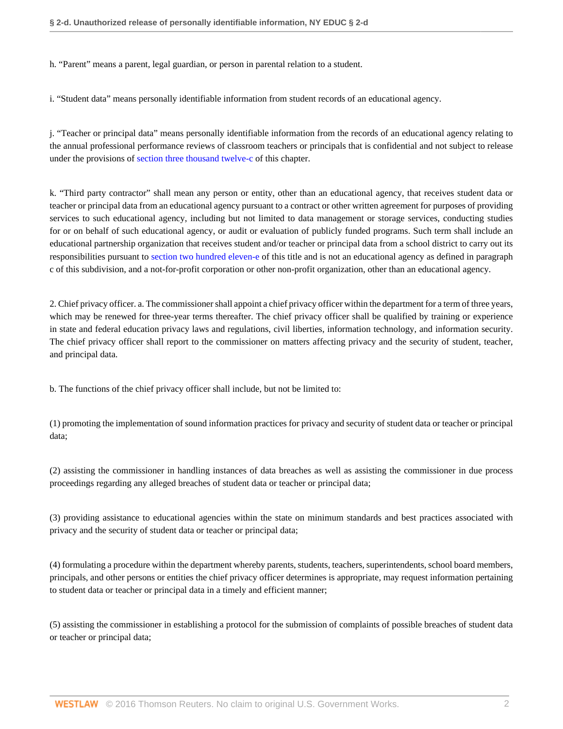h. "Parent" means a parent, legal guardian, or person in parental relation to a student.

i. "Student data" means personally identifiable information from student records of an educational agency.

j. "Teacher or principal data" means personally identifiable information from the records of an educational agency relating to the annual professional performance reviews of classroom teachers or principals that is confidential and not subject to release under the provisions of [section three thousand twelve-c](http://www.westlaw.com/Link/Document/FullText?findType=L&pubNum=1000069&cite=NYEDS3012-C&originatingDoc=NB8AD88D0EFBF11E48C39B81E0915B315&refType=LQ&originationContext=document&vr=3.0&rs=cblt1.0&transitionType=DocumentItem&contextData=(sc.UserEnteredCitation)) of this chapter.

k. "Third party contractor" shall mean any person or entity, other than an educational agency, that receives student data or teacher or principal data from an educational agency pursuant to a contract or other written agreement for purposes of providing services to such educational agency, including but not limited to data management or storage services, conducting studies for or on behalf of such educational agency, or audit or evaluation of publicly funded programs. Such term shall include an educational partnership organization that receives student and/or teacher or principal data from a school district to carry out its responsibilities pursuant to [section two hundred eleven-e](http://www.westlaw.com/Link/Document/FullText?findType=L&pubNum=1000069&cite=NYEDS211-E&originatingDoc=NB8AD88D0EFBF11E48C39B81E0915B315&refType=LQ&originationContext=document&vr=3.0&rs=cblt1.0&transitionType=DocumentItem&contextData=(sc.UserEnteredCitation)) of this title and is not an educational agency as defined in paragraph c of this subdivision, and a not-for-profit corporation or other non-profit organization, other than an educational agency.

2. Chief privacy officer. a. The commissioner shall appoint a chief privacy officer within the department for a term of three years, which may be renewed for three-year terms thereafter. The chief privacy officer shall be qualified by training or experience in state and federal education privacy laws and regulations, civil liberties, information technology, and information security. The chief privacy officer shall report to the commissioner on matters affecting privacy and the security of student, teacher, and principal data.

b. The functions of the chief privacy officer shall include, but not be limited to:

(1) promoting the implementation of sound information practices for privacy and security of student data or teacher or principal data;

(2) assisting the commissioner in handling instances of data breaches as well as assisting the commissioner in due process proceedings regarding any alleged breaches of student data or teacher or principal data;

(3) providing assistance to educational agencies within the state on minimum standards and best practices associated with privacy and the security of student data or teacher or principal data;

(4) formulating a procedure within the department whereby parents, students, teachers, superintendents, school board members, principals, and other persons or entities the chief privacy officer determines is appropriate, may request information pertaining to student data or teacher or principal data in a timely and efficient manner;

(5) assisting the commissioner in establishing a protocol for the submission of complaints of possible breaches of student data or teacher or principal data;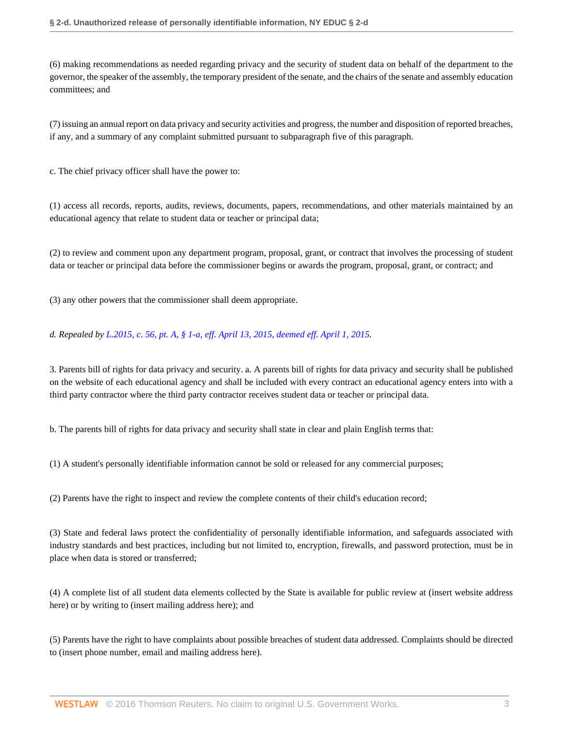(6) making recommendations as needed regarding privacy and the security of student data on behalf of the department to the governor, the speaker of the assembly, the temporary president of the senate, and the chairs of the senate and assembly education committees; and

(7) issuing an annual report on data privacy and security activities and progress, the number and disposition of reported breaches, if any, and a summary of any complaint submitted pursuant to subparagraph five of this paragraph.

c. The chief privacy officer shall have the power to:

(1) access all records, reports, audits, reviews, documents, papers, recommendations, and other materials maintained by an educational agency that relate to student data or teacher or principal data;

(2) to review and comment upon any department program, proposal, grant, or contract that involves the processing of student data or teacher or principal data before the commissioner begins or awards the program, proposal, grant, or contract; and

(3) any other powers that the commissioner shall deem appropriate.

*d. Repealed by [L.2015, c. 56, pt. A, § 1-a, eff. April 13, 2015, deemed eff. April 1, 2015](http://www.westlaw.com/Link/Document/FullText?findType=l&pubNum=1077005&cite=UUID(I36D0B770EA-3211E48C358-5654850F586)&originatingDoc=NB8AD88D0EFBF11E48C39B81E0915B315&refType=SL&originationContext=document&vr=3.0&rs=cblt1.0&transitionType=DocumentItem&contextData=(sc.UserEnteredCitation)).*

3. Parents bill of rights for data privacy and security. a. A parents bill of rights for data privacy and security shall be published on the website of each educational agency and shall be included with every contract an educational agency enters into with a third party contractor where the third party contractor receives student data or teacher or principal data.

b. The parents bill of rights for data privacy and security shall state in clear and plain English terms that:

(1) A student's personally identifiable information cannot be sold or released for any commercial purposes;

(2) Parents have the right to inspect and review the complete contents of their child's education record;

(3) State and federal laws protect the confidentiality of personally identifiable information, and safeguards associated with industry standards and best practices, including but not limited to, encryption, firewalls, and password protection, must be in place when data is stored or transferred;

(4) A complete list of all student data elements collected by the State is available for public review at (insert website address here) or by writing to (insert mailing address here); and

(5) Parents have the right to have complaints about possible breaches of student data addressed. Complaints should be directed to (insert phone number, email and mailing address here).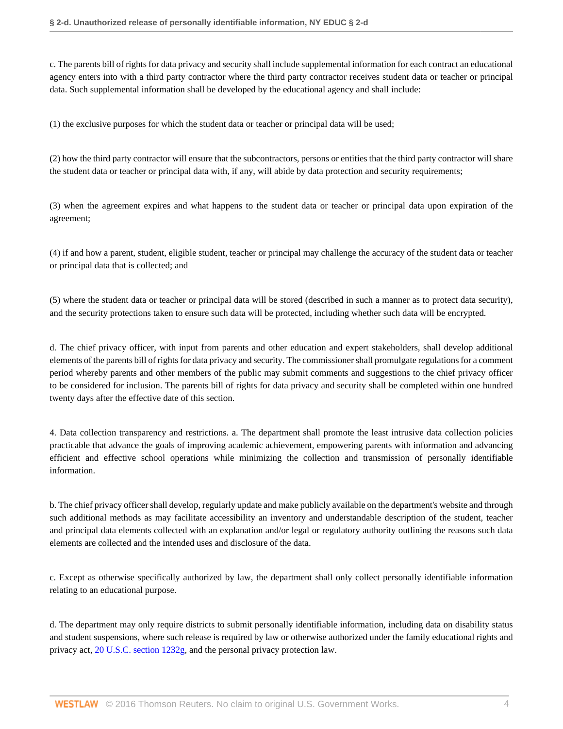c. The parents bill of rights for data privacy and security shall include supplemental information for each contract an educational agency enters into with a third party contractor where the third party contractor receives student data or teacher or principal data. Such supplemental information shall be developed by the educational agency and shall include:

(1) the exclusive purposes for which the student data or teacher or principal data will be used;

(2) how the third party contractor will ensure that the subcontractors, persons or entities that the third party contractor will share the student data or teacher or principal data with, if any, will abide by data protection and security requirements;

(3) when the agreement expires and what happens to the student data or teacher or principal data upon expiration of the agreement;

(4) if and how a parent, student, eligible student, teacher or principal may challenge the accuracy of the student data or teacher or principal data that is collected; and

(5) where the student data or teacher or principal data will be stored (described in such a manner as to protect data security), and the security protections taken to ensure such data will be protected, including whether such data will be encrypted.

d. The chief privacy officer, with input from parents and other education and expert stakeholders, shall develop additional elements of the parents bill of rights for data privacy and security. The commissioner shall promulgate regulations for a comment period whereby parents and other members of the public may submit comments and suggestions to the chief privacy officer to be considered for inclusion. The parents bill of rights for data privacy and security shall be completed within one hundred twenty days after the effective date of this section.

4. Data collection transparency and restrictions. a. The department shall promote the least intrusive data collection policies practicable that advance the goals of improving academic achievement, empowering parents with information and advancing efficient and effective school operations while minimizing the collection and transmission of personally identifiable information.

b. The chief privacy officer shall develop, regularly update and make publicly available on the department's website and through such additional methods as may facilitate accessibility an inventory and understandable description of the student, teacher and principal data elements collected with an explanation and/or legal or regulatory authority outlining the reasons such data elements are collected and the intended uses and disclosure of the data.

c. Except as otherwise specifically authorized by law, the department shall only collect personally identifiable information relating to an educational purpose.

d. The department may only require districts to submit personally identifiable information, including data on disability status and student suspensions, where such release is required by law or otherwise authorized under the family educational rights and privacy act, [20 U.S.C. section 1232g,](http://www.westlaw.com/Link/Document/FullText?findType=L&pubNum=1000546&cite=20USCAS1232G&originatingDoc=NB8AD88D0EFBF11E48C39B81E0915B315&refType=LQ&originationContext=document&vr=3.0&rs=cblt1.0&transitionType=DocumentItem&contextData=(sc.UserEnteredCitation)) and the personal privacy protection law.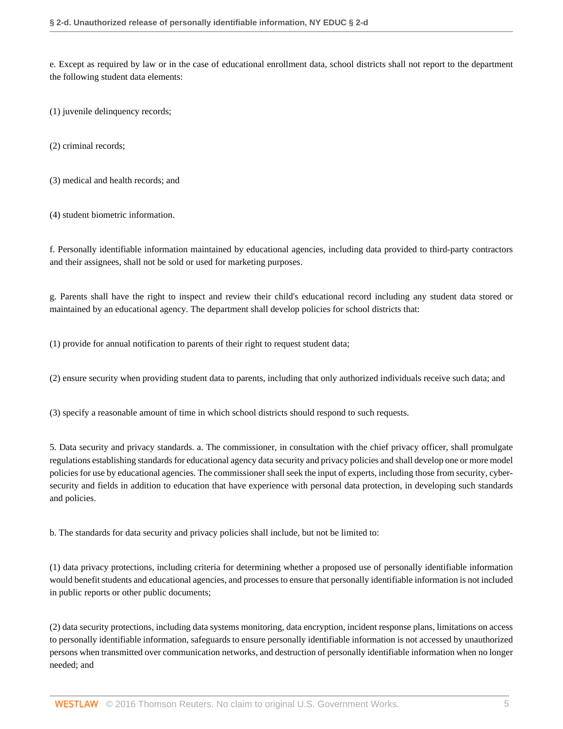e. Except as required by law or in the case of educational enrollment data, school districts shall not report to the department the following student data elements:

(1) juvenile delinquency records;

(2) criminal records;

(3) medical and health records; and

(4) student biometric information.

f. Personally identifiable information maintained by educational agencies, including data provided to third-party contractors and their assignees, shall not be sold or used for marketing purposes.

g. Parents shall have the right to inspect and review their child's educational record including any student data stored or maintained by an educational agency. The department shall develop policies for school districts that:

(1) provide for annual notification to parents of their right to request student data;

(2) ensure security when providing student data to parents, including that only authorized individuals receive such data; and

(3) specify a reasonable amount of time in which school districts should respond to such requests.

5. Data security and privacy standards. a. The commissioner, in consultation with the chief privacy officer, shall promulgate regulations establishing standards for educational agency data security and privacy policies and shall develop one or more model policies for use by educational agencies. The commissioner shall seek the input of experts, including those from security, cybersecurity and fields in addition to education that have experience with personal data protection, in developing such standards and policies.

b. The standards for data security and privacy policies shall include, but not be limited to:

(1) data privacy protections, including criteria for determining whether a proposed use of personally identifiable information would benefit students and educational agencies, and processes to ensure that personally identifiable information is not included in public reports or other public documents;

(2) data security protections, including data systems monitoring, data encryption, incident response plans, limitations on access to personally identifiable information, safeguards to ensure personally identifiable information is not accessed by unauthorized persons when transmitted over communication networks, and destruction of personally identifiable information when no longer needed; and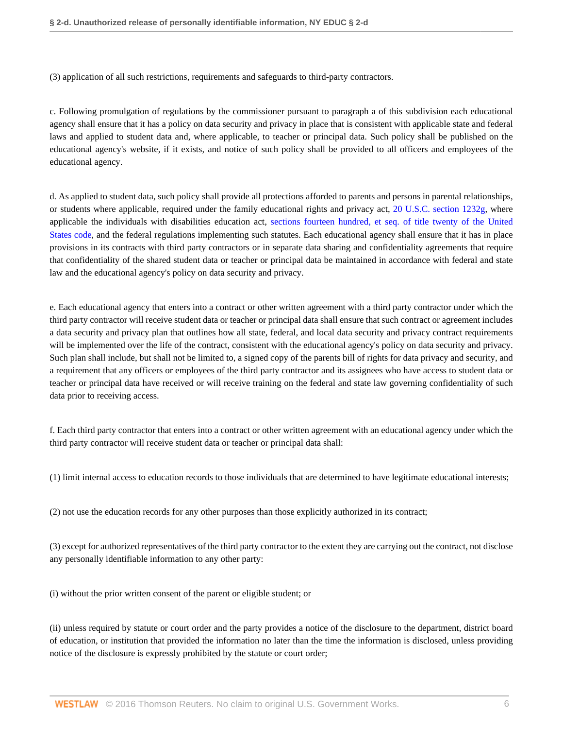(3) application of all such restrictions, requirements and safeguards to third-party contractors.

c. Following promulgation of regulations by the commissioner pursuant to paragraph a of this subdivision each educational agency shall ensure that it has a policy on data security and privacy in place that is consistent with applicable state and federal laws and applied to student data and, where applicable, to teacher or principal data. Such policy shall be published on the educational agency's website, if it exists, and notice of such policy shall be provided to all officers and employees of the educational agency.

d. As applied to student data, such policy shall provide all protections afforded to parents and persons in parental relationships, or students where applicable, required under the family educational rights and privacy act, [20 U.S.C. section 1232g,](http://www.westlaw.com/Link/Document/FullText?findType=L&pubNum=1000546&cite=20USCAS1232G&originatingDoc=NB8AD88D0EFBF11E48C39B81E0915B315&refType=LQ&originationContext=document&vr=3.0&rs=cblt1.0&transitionType=DocumentItem&contextData=(sc.UserEnteredCitation)) where applicable the individuals with disabilities education act, [sections fourteen hundred, et seq. of title twenty of the United](http://www.westlaw.com/Link/Document/FullText?findType=L&pubNum=1000546&cite=20USCAS1400&originatingDoc=NB8AD88D0EFBF11E48C39B81E0915B315&refType=LQ&originationContext=document&vr=3.0&rs=cblt1.0&transitionType=DocumentItem&contextData=(sc.UserEnteredCitation)) [States code,](http://www.westlaw.com/Link/Document/FullText?findType=L&pubNum=1000546&cite=20USCAS1400&originatingDoc=NB8AD88D0EFBF11E48C39B81E0915B315&refType=LQ&originationContext=document&vr=3.0&rs=cblt1.0&transitionType=DocumentItem&contextData=(sc.UserEnteredCitation)) and the federal regulations implementing such statutes. Each educational agency shall ensure that it has in place provisions in its contracts with third party contractors or in separate data sharing and confidentiality agreements that require that confidentiality of the shared student data or teacher or principal data be maintained in accordance with federal and state law and the educational agency's policy on data security and privacy.

e. Each educational agency that enters into a contract or other written agreement with a third party contractor under which the third party contractor will receive student data or teacher or principal data shall ensure that such contract or agreement includes a data security and privacy plan that outlines how all state, federal, and local data security and privacy contract requirements will be implemented over the life of the contract, consistent with the educational agency's policy on data security and privacy. Such plan shall include, but shall not be limited to, a signed copy of the parents bill of rights for data privacy and security, and a requirement that any officers or employees of the third party contractor and its assignees who have access to student data or teacher or principal data have received or will receive training on the federal and state law governing confidentiality of such data prior to receiving access.

f. Each third party contractor that enters into a contract or other written agreement with an educational agency under which the third party contractor will receive student data or teacher or principal data shall:

(1) limit internal access to education records to those individuals that are determined to have legitimate educational interests;

(2) not use the education records for any other purposes than those explicitly authorized in its contract;

(3) except for authorized representatives of the third party contractor to the extent they are carrying out the contract, not disclose any personally identifiable information to any other party:

(i) without the prior written consent of the parent or eligible student; or

(ii) unless required by statute or court order and the party provides a notice of the disclosure to the department, district board of education, or institution that provided the information no later than the time the information is disclosed, unless providing notice of the disclosure is expressly prohibited by the statute or court order;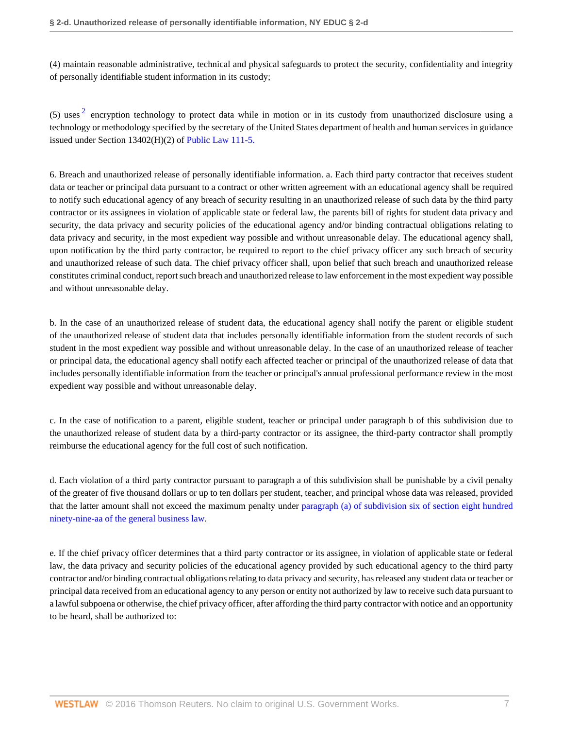(4) maintain reasonable administrative, technical and physical safeguards to protect the security, confidentiality and integrity of personally identifiable student information in its custody;

<span id="page-6-0"></span>(5) uses  $2$  encryption technology to protect data while in motion or in its custody from unauthorized disclosure using a technology or methodology specified by the secretary of the United States department of health and human services in guidance issued under Section 13402(H)(2) of [Public Law 111-5.](http://www.westlaw.com/Link/Document/FullText?findType=l&pubNum=1077005&cite=UUID(I3A292700FE-C911DD9F1FD-B027D1AEBBC)&originatingDoc=NB8AD88D0EFBF11E48C39B81E0915B315&refType=SL&originationContext=document&vr=3.0&rs=cblt1.0&transitionType=DocumentItem&contextData=(sc.UserEnteredCitation))

6. Breach and unauthorized release of personally identifiable information. a. Each third party contractor that receives student data or teacher or principal data pursuant to a contract or other written agreement with an educational agency shall be required to notify such educational agency of any breach of security resulting in an unauthorized release of such data by the third party contractor or its assignees in violation of applicable state or federal law, the parents bill of rights for student data privacy and security, the data privacy and security policies of the educational agency and/or binding contractual obligations relating to data privacy and security, in the most expedient way possible and without unreasonable delay. The educational agency shall, upon notification by the third party contractor, be required to report to the chief privacy officer any such breach of security and unauthorized release of such data. The chief privacy officer shall, upon belief that such breach and unauthorized release constitutes criminal conduct, report such breach and unauthorized release to law enforcement in the most expedient way possible and without unreasonable delay.

b. In the case of an unauthorized release of student data, the educational agency shall notify the parent or eligible student of the unauthorized release of student data that includes personally identifiable information from the student records of such student in the most expedient way possible and without unreasonable delay. In the case of an unauthorized release of teacher or principal data, the educational agency shall notify each affected teacher or principal of the unauthorized release of data that includes personally identifiable information from the teacher or principal's annual professional performance review in the most expedient way possible and without unreasonable delay.

c. In the case of notification to a parent, eligible student, teacher or principal under paragraph b of this subdivision due to the unauthorized release of student data by a third-party contractor or its assignee, the third-party contractor shall promptly reimburse the educational agency for the full cost of such notification.

d. Each violation of a third party contractor pursuant to paragraph a of this subdivision shall be punishable by a civil penalty of the greater of five thousand dollars or up to ten dollars per student, teacher, and principal whose data was released, provided that the latter amount shall not exceed the maximum penalty under [paragraph \(a\) of subdivision six of section eight hundred](http://www.westlaw.com/Link/Document/FullText?findType=L&pubNum=1000081&cite=NYGBS899-AA&originatingDoc=NB8AD88D0EFBF11E48C39B81E0915B315&refType=SP&originationContext=document&vr=3.0&rs=cblt1.0&transitionType=DocumentItem&contextData=(sc.UserEnteredCitation)#co_pp_98690000d3140) [ninety-nine-aa of the general business law.](http://www.westlaw.com/Link/Document/FullText?findType=L&pubNum=1000081&cite=NYGBS899-AA&originatingDoc=NB8AD88D0EFBF11E48C39B81E0915B315&refType=SP&originationContext=document&vr=3.0&rs=cblt1.0&transitionType=DocumentItem&contextData=(sc.UserEnteredCitation)#co_pp_98690000d3140)

e. If the chief privacy officer determines that a third party contractor or its assignee, in violation of applicable state or federal law, the data privacy and security policies of the educational agency provided by such educational agency to the third party contractor and/or binding contractual obligations relating to data privacy and security, has released any student data or teacher or principal data received from an educational agency to any person or entity not authorized by law to receive such data pursuant to a lawful subpoena or otherwise, the chief privacy officer, after affording the third party contractor with notice and an opportunity to be heard, shall be authorized to: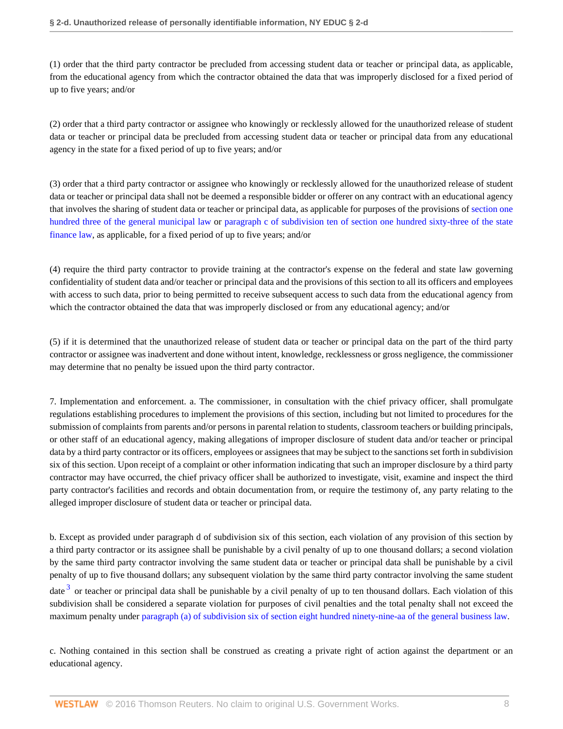(1) order that the third party contractor be precluded from accessing student data or teacher or principal data, as applicable, from the educational agency from which the contractor obtained the data that was improperly disclosed for a fixed period of up to five years; and/or

(2) order that a third party contractor or assignee who knowingly or recklessly allowed for the unauthorized release of student data or teacher or principal data be precluded from accessing student data or teacher or principal data from any educational agency in the state for a fixed period of up to five years; and/or

(3) order that a third party contractor or assignee who knowingly or recklessly allowed for the unauthorized release of student data or teacher or principal data shall not be deemed a responsible bidder or offerer on any contract with an educational agency that involves the sharing of student data or teacher or principal data, as applicable for purposes of the provisions of [section one](http://www.westlaw.com/Link/Document/FullText?findType=L&pubNum=1000086&cite=NYGMS103&originatingDoc=NB8AD88D0EFBF11E48C39B81E0915B315&refType=LQ&originationContext=document&vr=3.0&rs=cblt1.0&transitionType=DocumentItem&contextData=(sc.UserEnteredCitation)) [hundred three of the general municipal law](http://www.westlaw.com/Link/Document/FullText?findType=L&pubNum=1000086&cite=NYGMS103&originatingDoc=NB8AD88D0EFBF11E48C39B81E0915B315&refType=LQ&originationContext=document&vr=3.0&rs=cblt1.0&transitionType=DocumentItem&contextData=(sc.UserEnteredCitation)) or [paragraph c of subdivision ten of section one hundred sixty-three of the state](http://www.westlaw.com/Link/Document/FullText?findType=L&pubNum=1000138&cite=NYSFS163&originatingDoc=NB8AD88D0EFBF11E48C39B81E0915B315&refType=SP&originationContext=document&vr=3.0&rs=cblt1.0&transitionType=DocumentItem&contextData=(sc.UserEnteredCitation)#co_pp_05e3000075000) [finance law](http://www.westlaw.com/Link/Document/FullText?findType=L&pubNum=1000138&cite=NYSFS163&originatingDoc=NB8AD88D0EFBF11E48C39B81E0915B315&refType=SP&originationContext=document&vr=3.0&rs=cblt1.0&transitionType=DocumentItem&contextData=(sc.UserEnteredCitation)#co_pp_05e3000075000), as applicable, for a fixed period of up to five years; and/or

(4) require the third party contractor to provide training at the contractor's expense on the federal and state law governing confidentiality of student data and/or teacher or principal data and the provisions of this section to all its officers and employees with access to such data, prior to being permitted to receive subsequent access to such data from the educational agency from which the contractor obtained the data that was improperly disclosed or from any educational agency; and/or

(5) if it is determined that the unauthorized release of student data or teacher or principal data on the part of the third party contractor or assignee was inadvertent and done without intent, knowledge, recklessness or gross negligence, the commissioner may determine that no penalty be issued upon the third party contractor.

7. Implementation and enforcement. a. The commissioner, in consultation with the chief privacy officer, shall promulgate regulations establishing procedures to implement the provisions of this section, including but not limited to procedures for the submission of complaints from parents and/or persons in parental relation to students, classroom teachers or building principals, or other staff of an educational agency, making allegations of improper disclosure of student data and/or teacher or principal data by a third party contractor or its officers, employees or assignees that may be subject to the sanctions set forth in subdivision six of this section. Upon receipt of a complaint or other information indicating that such an improper disclosure by a third party contractor may have occurred, the chief privacy officer shall be authorized to investigate, visit, examine and inspect the third party contractor's facilities and records and obtain documentation from, or require the testimony of, any party relating to the alleged improper disclosure of student data or teacher or principal data.

<span id="page-7-0"></span>b. Except as provided under paragraph d of subdivision six of this section, each violation of any provision of this section by a third party contractor or its assignee shall be punishable by a civil penalty of up to one thousand dollars; a second violation by the same third party contractor involving the same student data or teacher or principal data shall be punishable by a civil penalty of up to five thousand dollars; any subsequent violation by the same third party contractor involving the same student date <sup>[3](#page-8-3)</sup> or teacher or principal data shall be punishable by a civil penalty of up to ten thousand dollars. Each violation of this subdivision shall be considered a separate violation for purposes of civil penalties and the total penalty shall not exceed the maximum penalty under [paragraph \(a\) of subdivision six of section eight hundred ninety-nine-aa of the general business law.](http://www.westlaw.com/Link/Document/FullText?findType=L&pubNum=1000081&cite=NYGBS899-AA&originatingDoc=NB8AD88D0EFBF11E48C39B81E0915B315&refType=SP&originationContext=document&vr=3.0&rs=cblt1.0&transitionType=DocumentItem&contextData=(sc.UserEnteredCitation)#co_pp_98690000d3140)

c. Nothing contained in this section shall be construed as creating a private right of action against the department or an educational agency.